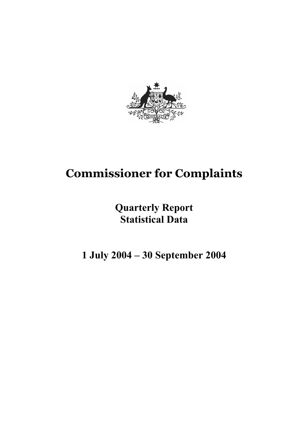

# **Commissioner for Complaints**

# **Quarterly Report Statistical Data**

**1 July 2004 – 30 September 2004**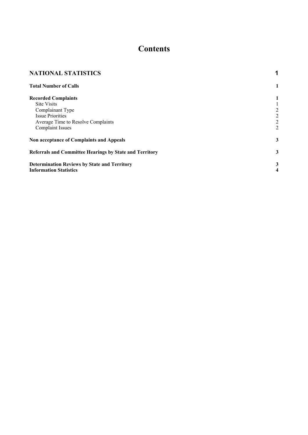# **Contents**

| <b>NATIONAL STATISTICS</b>                              |                |
|---------------------------------------------------------|----------------|
| <b>Total Number of Calls</b>                            | 1              |
| <b>Recorded Complaints</b>                              |                |
| <b>Site Visits</b>                                      |                |
| Complainant Type                                        | 2              |
| <b>Issue Priorities</b>                                 | 2              |
| Average Time to Resolve Complaints                      | $\overline{c}$ |
| <b>Complaint Issues</b>                                 | $\overline{2}$ |
| Non acceptance of Complaints and Appeals                | 3              |
| Referrals and Committee Hearings by State and Territory | 3              |
| <b>Determination Reviews by State and Territory</b>     | 3              |
| <b>Information Statistics</b>                           | 4              |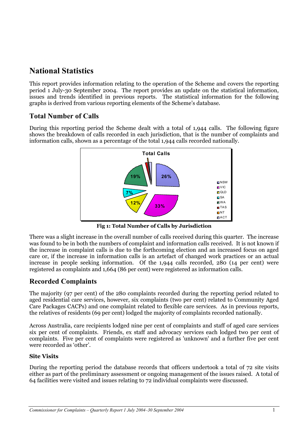# **National Statistics**

This report provides information relating to the operation of the Scheme and covers the reporting period 1 July-30 September 2004. The report provides an update on the statistical information, issues and trends identified in previous reports. The statistical information for the following graphs is derived from various reporting elements of the Scheme's database.

# **Total Number of Calls**

During this reporting period the Scheme dealt with a total of 1,944 calls. The following figure shows the breakdown of calls recorded in each jurisdiction, that is the number of complaints and information calls, shown as a percentage of the total 1,944 calls recorded nationally.



**Fig 1: Total Number of Calls by Jurisdiction**

There was a slight increase in the overall number of calls received during this quarter. The increase was found to be in both the numbers of complaint and information calls received. It is not known if the increase in complaint calls is due to the forthcoming election and an increased focus on aged care or, if the increase in information calls is an artefact of changed work practices or an actual increase in people seeking information. Of the 1,944 calls recorded, 280 (14 per cent) were registered as complaints and 1,664 (86 per cent) were registered as information calls.

# **Recorded Complaints**

The majority (97 per cent) of the 280 complaints recorded during the reporting period related to aged residential care services, however, six complaints (two per cent) related to Community Aged Care Packages CACPs) and one complaint related to flexible care services. As in previous reports, the relatives of residents (69 per cent) lodged the majority of complaints recorded nationally.

Across Australia, care recipients lodged nine per cent of complaints and staff of aged care services six per cent of complaints. Friends, ex staff and advocacy services each lodged two per cent of complaints. Five per cent of complaints were registered as 'unknown' and a further five per cent were recorded as 'other'.

### **Site Visits**

During the reporting period the database records that officers undertook a total of 72 site visits either as part of the preliminary assessment or ongoing management of the issues raised.A total of 64 facilities were visited and issues relating to 72 individual complaints were discussed.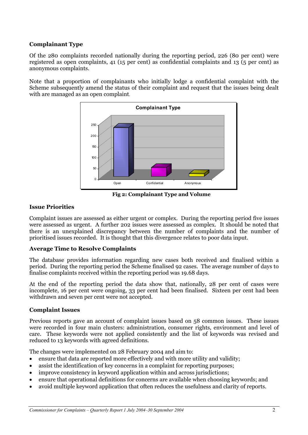#### **Complainant Type**

Of the 280 complaints recorded nationally during the reporting period, 226 (80 per cent) were registered as open complaints, 41 (15 per cent) as confidential complaints and 13 (5 per cent) as anonymous complaints.

Note that a proportion of complainants who initially lodge a confidential complaint with the Scheme subsequently amend the status of their complaint and request that the issues being dealt with are managed as an open complaint.



 **Fig 2: Complainant Type and Volume**

#### **Issue Priorities**

Complaint issues are assessed as either urgent or complex. During the reporting period five issues were assessed as urgent. A further 202 issues were assessed as complex. It should be noted that there is an unexplained discrepancy between the number of complaints and the number of prioritised issues recorded. It is thought that this divergence relates to poor data input.

#### **Average Time to Resolve Complaints**

The database provides information regarding new cases both received and finalised within a period. During the reporting period the Scheme finalised 92 cases. The average number of days to finalise complaints received within the reporting period was 19.68 days.

At the end of the reporting period the data show that, nationally, 28 per cent of cases were incomplete, 16 per cent were ongoing, 33 per cent had been finalised. Sixteen per cent had been withdrawn and seven per cent were not accepted.

#### **Complaint Issues**

Previous reports gave an account of complaint issues based on 58 common issues. These issues were recorded in four main clusters: administration, consumer rights, environment and level of care. These keywords were not applied consistently and the list of keywords was revised and reduced to 13 keywords with agreed definitions.

The changes were implemented on 28 February 2004 and aim to:

- ensure that data are reported more effectively and with more utility and validity;
- assist the identification of key concerns in a complaint for reporting purposes;
- improve consistency in keyword application within and across jurisdictions;
- ensure that operational definitions for concerns are available when choosing keywords; and
- avoid multiple keyword application that often reduces the usefulness and clarity of reports.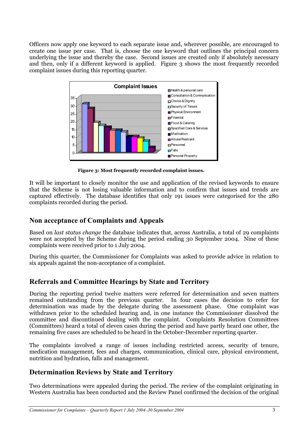Officers now apply one keyword to each separate issue and, wherever possible, are encouraged to create one issue per case. That is, choose the one keyword that outlines the principal concern underlying the issue and thereby the case. Second issues are created only if absolutely necessary and then, only if a different keyword is applied. Figure 3 shows the most frequently recorded complaint issues during this reporting quarter.



 **Figure 3: Most frequently recorded complaint issues.**

It will be important to closely monitor the use and application of the revised keywords to ensure that the Scheme is not losing valuable information and to confirm that issues and trends are captured effectively. The database identifies that only 191 issues were categorised for the 280 complaints recorded during the period.

### **Non acceptance of Complaints and Appeals**

Based on *last status change* the database indicates that, across Australia, a total of 29 complaints were not accepted by the Scheme during the period ending 30 September 2004. Nine of these complaints were received prior to 1 July 2004.

During this quarter, the Commissioner for Complaints was asked to provide advice in relation to six appeals against the non-acceptance of a complaint.

## **Referrals and Committee Hearings by State and Territory**

During the reporting period twelve matters were referred for determination and seven matters remained outstanding from the previous quarter. In four cases the decision to refer for determination was made by the delegate during the assessment phase. One complaint was withdrawn prior to the scheduled hearing and, in one instance the Commissioner dissolved the committee and discontinued dealing with the complaint. Complaints Resolution Committees (Committees) heard a total of eleven cases during the period and have partly heard one other, the remaining five cases are scheduled to be heard in the October-December reporting quarter.

The complaints involved a range of issues including restricted access, security of tenure, medication management, fees and charges, communication, clinical care, physical environment, nutrition and hydration, falls and management.

## **Determination Reviews by State and Territory**

Two determinations were appealed during the period. The review of the complaint originating in Western Australia has been conducted and the Review Panel confirmed the decision of the original